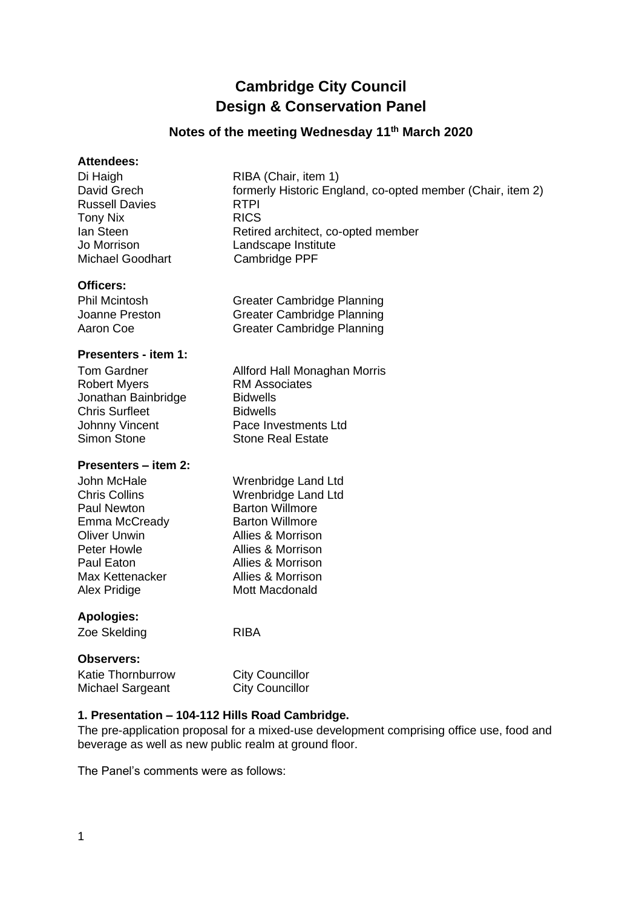# **Cambridge City Council Design & Conservation Panel**

# **Notes of the meeting Wednesday 11 th March 2020**

#### **Attendees:**

Di Haigh RIBA (Chair, item 1) Russell Davies **RTPI** Tony Nix RICS Michael Goodhart Cambridge PPF

David Grech formerly Historic England, co-opted member (Chair, item 2) Ian Steen Retired architect, co-opted member Jo Morrison Landscape Institute

# **Officers:**

Phil Mcintosh Greater Cambridge Planning Joanne Preston Greater Cambridge Planning Aaron Coe Greater Cambridge Planning

#### **Presenters - item 1:**

Tom Gardner **Allford Hall Monaghan Morris** Robert Myers **RM** Associates Jonathan Bainbridge Bidwells Chris Surfleet Bidwells Johnny Vincent Pace Investments Ltd Simon Stone Stone Real Estate

# **Presenters – item 2:**

John McHale Wrenbridge Land Ltd Chris Collins Wrenbridge Land Ltd Paul Newton **Barton Willmore** Emma McCready Barton Willmore Oliver Unwin Allies & Morrison<br>
Peter Howle **Allies & Morrison** Paul Eaton **Allies & Morrison** Max Kettenacker Allies & Morrison Alex Pridige Mott Macdonald

# **Apologies:**

Zoe Skelding **RIBA** 

Allies & Morrison

# **Observers:**

Katie Thornburrow City Councillor Michael Sargeant City Councillor

# **1. Presentation – 104-112 Hills Road Cambridge.**

The pre-application proposal for a mixed-use development comprising office use, food and beverage as well as new public realm at ground floor.

The Panel's comments were as follows: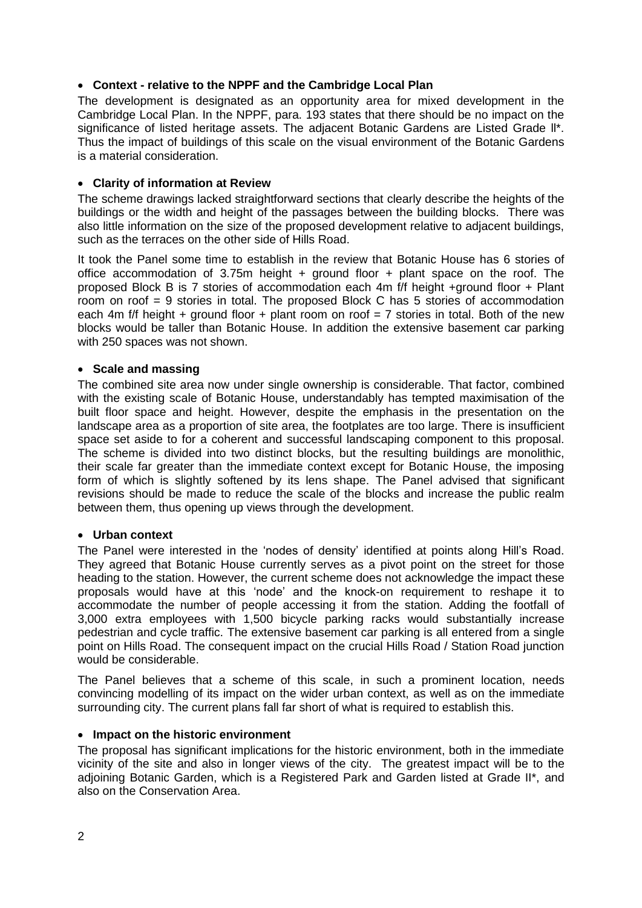# • **Context - relative to the NPPF and the Cambridge Local Plan**

The development is designated as an opportunity area for mixed development in the Cambridge Local Plan. In the NPPF, para. 193 states that there should be no impact on the significance of listed heritage assets. The adjacent Botanic Gardens are Listed Grade ll\*. Thus the impact of buildings of this scale on the visual environment of the Botanic Gardens is a material consideration.

# • **Clarity of information at Review**

The scheme drawings lacked straightforward sections that clearly describe the heights of the buildings or the width and height of the passages between the building blocks. There was also little information on the size of the proposed development relative to adjacent buildings, such as the terraces on the other side of Hills Road.

It took the Panel some time to establish in the review that Botanic House has 6 stories of office accommodation of 3.75m height  $+$  ground floor  $+$  plant space on the roof. The proposed Block B is 7 stories of accommodation each 4m f/f height +ground floor + Plant room on roof = 9 stories in total. The proposed Block C has 5 stories of accommodation each 4m f/f height + ground floor + plant room on roof = 7 stories in total. Both of the new blocks would be taller than Botanic House. In addition the extensive basement car parking with 250 spaces was not shown.

# • **Scale and massing**

The combined site area now under single ownership is considerable. That factor, combined with the existing scale of Botanic House, understandably has tempted maximisation of the built floor space and height. However, despite the emphasis in the presentation on the landscape area as a proportion of site area, the footplates are too large. There is insufficient space set aside to for a coherent and successful landscaping component to this proposal. The scheme is divided into two distinct blocks, but the resulting buildings are monolithic, their scale far greater than the immediate context except for Botanic House, the imposing form of which is slightly softened by its lens shape. The Panel advised that significant revisions should be made to reduce the scale of the blocks and increase the public realm between them, thus opening up views through the development.

# • **Urban context**

The Panel were interested in the 'nodes of density' identified at points along Hill's Road. They agreed that Botanic House currently serves as a pivot point on the street for those heading to the station. However, the current scheme does not acknowledge the impact these proposals would have at this 'node' and the knock-on requirement to reshape it to accommodate the number of people accessing it from the station. Adding the footfall of 3,000 extra employees with 1,500 bicycle parking racks would substantially increase pedestrian and cycle traffic. The extensive basement car parking is all entered from a single point on Hills Road. The consequent impact on the crucial Hills Road / Station Road junction would be considerable.

The Panel believes that a scheme of this scale, in such a prominent location, needs convincing modelling of its impact on the wider urban context, as well as on the immediate surrounding city. The current plans fall far short of what is required to establish this.

# • **Impact on the historic environment**

The proposal has significant implications for the historic environment, both in the immediate vicinity of the site and also in longer views of the city. The greatest impact will be to the adjoining Botanic Garden, which is a Registered Park and Garden listed at Grade II\*, and also on the Conservation Area.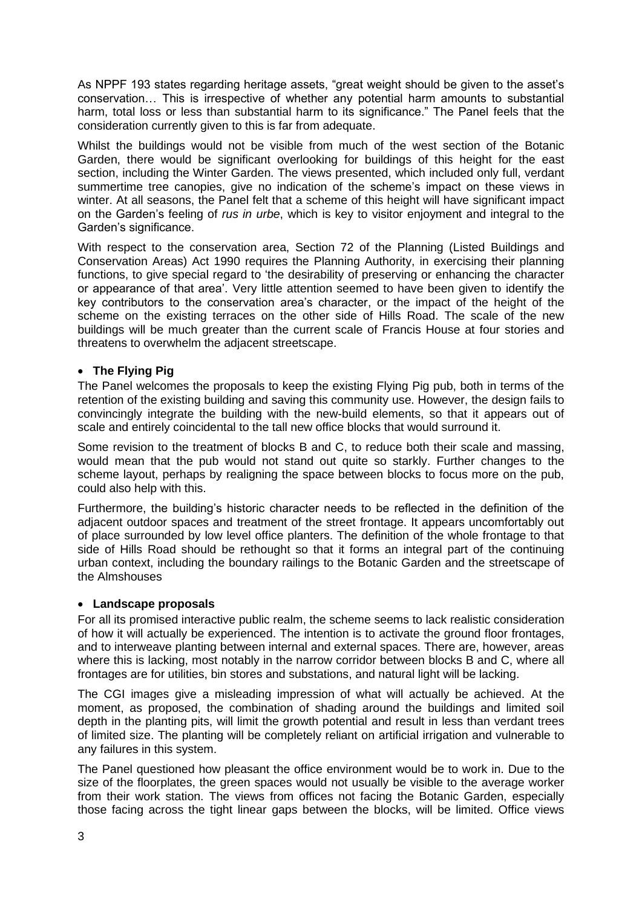As NPPF 193 states regarding heritage assets, "great weight should be given to the asset's conservation… This is irrespective of whether any potential harm amounts to substantial harm, total loss or less than substantial harm to its significance." The Panel feels that the consideration currently given to this is far from adequate.

Whilst the buildings would not be visible from much of the west section of the Botanic Garden, there would be significant overlooking for buildings of this height for the east section, including the Winter Garden. The views presented, which included only full, verdant summertime tree canopies, give no indication of the scheme's impact on these views in winter. At all seasons, the Panel felt that a scheme of this height will have significant impact on the Garden's feeling of *rus in urbe*, which is key to visitor enjoyment and integral to the Garden's significance.

With respect to the conservation area, Section 72 of the Planning (Listed Buildings and Conservation Areas) Act 1990 requires the Planning Authority, in exercising their planning functions, to give special regard to 'the desirability of preserving or enhancing the character or appearance of that area'. Very little attention seemed to have been given to identify the key contributors to the conservation area's character, or the impact of the height of the scheme on the existing terraces on the other side of Hills Road. The scale of the new buildings will be much greater than the current scale of Francis House at four stories and threatens to overwhelm the adjacent streetscape.

# • **The Flying Pig**

The Panel welcomes the proposals to keep the existing Flying Pig pub, both in terms of the retention of the existing building and saving this community use. However, the design fails to convincingly integrate the building with the new-build elements, so that it appears out of scale and entirely coincidental to the tall new office blocks that would surround it.

Some revision to the treatment of blocks B and C, to reduce both their scale and massing, would mean that the pub would not stand out quite so starkly. Further changes to the scheme layout, perhaps by realigning the space between blocks to focus more on the pub, could also help with this.

Furthermore, the building's historic character needs to be reflected in the definition of the adjacent outdoor spaces and treatment of the street frontage. It appears uncomfortably out of place surrounded by low level office planters. The definition of the whole frontage to that side of Hills Road should be rethought so that it forms an integral part of the continuing urban context, including the boundary railings to the Botanic Garden and the streetscape of the Almshouses

# • **Landscape proposals**

For all its promised interactive public realm, the scheme seems to lack realistic consideration of how it will actually be experienced. The intention is to activate the ground floor frontages, and to interweave planting between internal and external spaces. There are, however, areas where this is lacking, most notably in the narrow corridor between blocks B and C, where all frontages are for utilities, bin stores and substations, and natural light will be lacking.

The CGI images give a misleading impression of what will actually be achieved. At the moment, as proposed, the combination of shading around the buildings and limited soil depth in the planting pits, will limit the growth potential and result in less than verdant trees of limited size. The planting will be completely reliant on artificial irrigation and vulnerable to any failures in this system.

The Panel questioned how pleasant the office environment would be to work in. Due to the size of the floorplates, the green spaces would not usually be visible to the average worker from their work station. The views from offices not facing the Botanic Garden, especially those facing across the tight linear gaps between the blocks, will be limited. Office views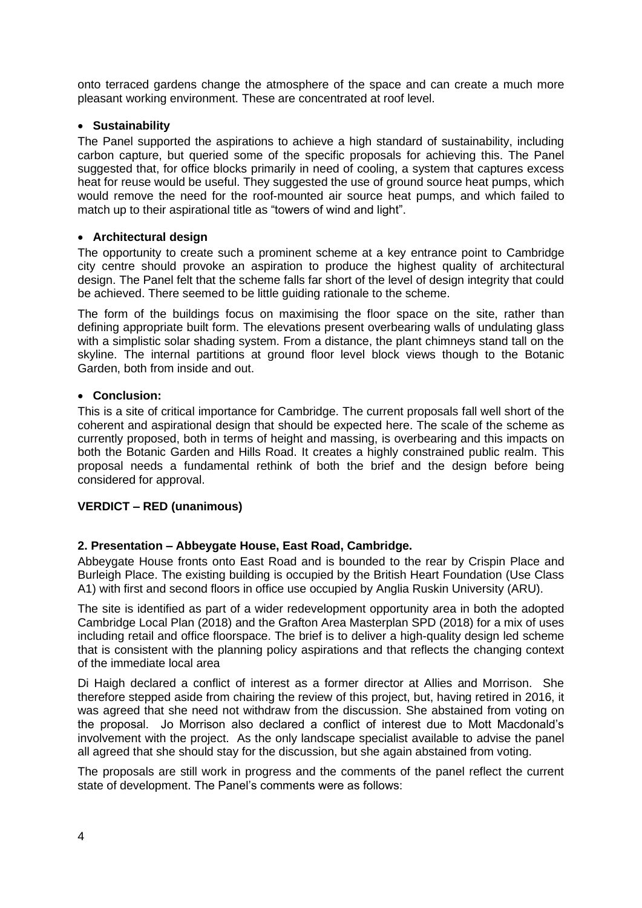onto terraced gardens change the atmosphere of the space and can create a much more pleasant working environment. These are concentrated at roof level.

# • **Sustainability**

The Panel supported the aspirations to achieve a high standard of sustainability, including carbon capture, but queried some of the specific proposals for achieving this. The Panel suggested that, for office blocks primarily in need of cooling, a system that captures excess heat for reuse would be useful. They suggested the use of ground source heat pumps, which would remove the need for the roof-mounted air source heat pumps, and which failed to match up to their aspirational title as "towers of wind and light".

#### • **Architectural design**

The opportunity to create such a prominent scheme at a key entrance point to Cambridge city centre should provoke an aspiration to produce the highest quality of architectural design. The Panel felt that the scheme falls far short of the level of design integrity that could be achieved. There seemed to be little guiding rationale to the scheme.

The form of the buildings focus on maximising the floor space on the site, rather than defining appropriate built form. The elevations present overbearing walls of undulating glass with a simplistic solar shading system. From a distance, the plant chimneys stand tall on the skyline. The internal partitions at ground floor level block views though to the Botanic Garden, both from inside and out.

#### • **Conclusion:**

This is a site of critical importance for Cambridge. The current proposals fall well short of the coherent and aspirational design that should be expected here. The scale of the scheme as currently proposed, both in terms of height and massing, is overbearing and this impacts on both the Botanic Garden and Hills Road. It creates a highly constrained public realm. This proposal needs a fundamental rethink of both the brief and the design before being considered for approval.

# **VERDICT – RED (unanimous)**

# **2. Presentation – Abbeygate House, East Road, Cambridge.**

Abbeygate House fronts onto East Road and is bounded to the rear by Crispin Place and Burleigh Place. The existing building is occupied by the British Heart Foundation (Use Class A1) with first and second floors in office use occupied by Anglia Ruskin University (ARU).

The site is identified as part of a wider redevelopment opportunity area in both the adopted Cambridge Local Plan (2018) and the Grafton Area Masterplan SPD (2018) for a mix of uses including retail and office floorspace. The brief is to deliver a high-quality design led scheme that is consistent with the planning policy aspirations and that reflects the changing context of the immediate local area

Di Haigh declared a conflict of interest as a former director at Allies and Morrison. She therefore stepped aside from chairing the review of this project, but, having retired in 2016, it was agreed that she need not withdraw from the discussion. She abstained from voting on the proposal. Jo Morrison also declared a conflict of interest due to Mott Macdonald's involvement with the project. As the only landscape specialist available to advise the panel all agreed that she should stay for the discussion, but she again abstained from voting.

The proposals are still work in progress and the comments of the panel reflect the current state of development. The Panel's comments were as follows: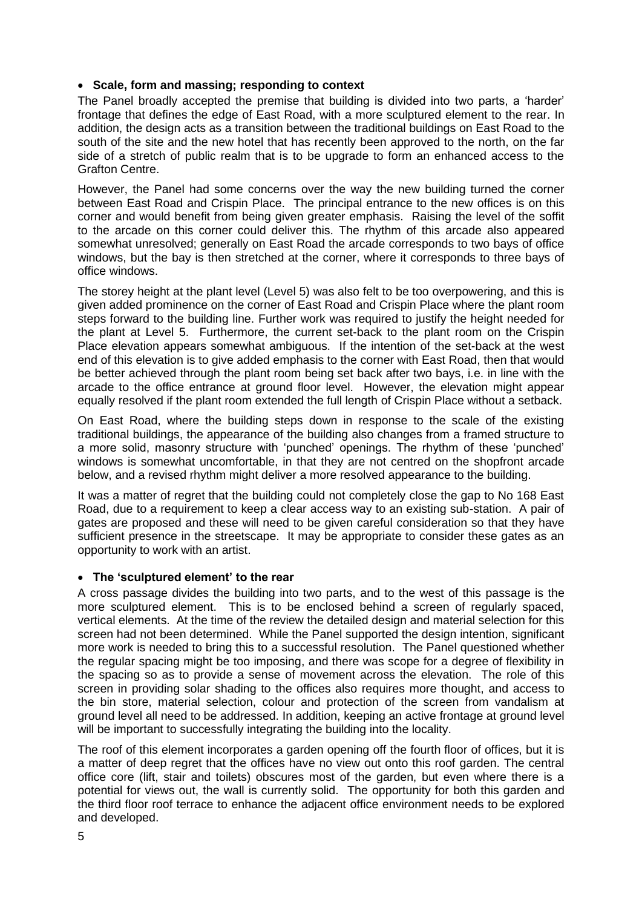### • **Scale, form and massing; responding to context**

The Panel broadly accepted the premise that building is divided into two parts, a 'harder' frontage that defines the edge of East Road, with a more sculptured element to the rear. In addition, the design acts as a transition between the traditional buildings on East Road to the south of the site and the new hotel that has recently been approved to the north, on the far side of a stretch of public realm that is to be upgrade to form an enhanced access to the Grafton Centre.

However, the Panel had some concerns over the way the new building turned the corner between East Road and Crispin Place. The principal entrance to the new offices is on this corner and would benefit from being given greater emphasis. Raising the level of the soffit to the arcade on this corner could deliver this. The rhythm of this arcade also appeared somewhat unresolved; generally on East Road the arcade corresponds to two bays of office windows, but the bay is then stretched at the corner, where it corresponds to three bays of office windows.

The storey height at the plant level (Level 5) was also felt to be too overpowering, and this is given added prominence on the corner of East Road and Crispin Place where the plant room steps forward to the building line. Further work was required to justify the height needed for the plant at Level 5. Furthermore, the current set-back to the plant room on the Crispin Place elevation appears somewhat ambiguous. If the intention of the set-back at the west end of this elevation is to give added emphasis to the corner with East Road, then that would be better achieved through the plant room being set back after two bays, i.e. in line with the arcade to the office entrance at ground floor level. However, the elevation might appear equally resolved if the plant room extended the full length of Crispin Place without a setback.

On East Road, where the building steps down in response to the scale of the existing traditional buildings, the appearance of the building also changes from a framed structure to a more solid, masonry structure with 'punched' openings. The rhythm of these 'punched' windows is somewhat uncomfortable, in that they are not centred on the shopfront arcade below, and a revised rhythm might deliver a more resolved appearance to the building.

It was a matter of regret that the building could not completely close the gap to No 168 East Road, due to a requirement to keep a clear access way to an existing sub-station. A pair of gates are proposed and these will need to be given careful consideration so that they have sufficient presence in the streetscape. It may be appropriate to consider these gates as an opportunity to work with an artist.

#### • **The 'sculptured element' to the rear**

A cross passage divides the building into two parts, and to the west of this passage is the more sculptured element. This is to be enclosed behind a screen of regularly spaced, vertical elements. At the time of the review the detailed design and material selection for this screen had not been determined. While the Panel supported the design intention, significant more work is needed to bring this to a successful resolution. The Panel questioned whether the regular spacing might be too imposing, and there was scope for a degree of flexibility in the spacing so as to provide a sense of movement across the elevation. The role of this screen in providing solar shading to the offices also requires more thought, and access to the bin store, material selection, colour and protection of the screen from vandalism at ground level all need to be addressed. In addition, keeping an active frontage at ground level will be important to successfully integrating the building into the locality.

The roof of this element incorporates a garden opening off the fourth floor of offices, but it is a matter of deep regret that the offices have no view out onto this roof garden. The central office core (lift, stair and toilets) obscures most of the garden, but even where there is a potential for views out, the wall is currently solid. The opportunity for both this garden and the third floor roof terrace to enhance the adjacent office environment needs to be explored and developed.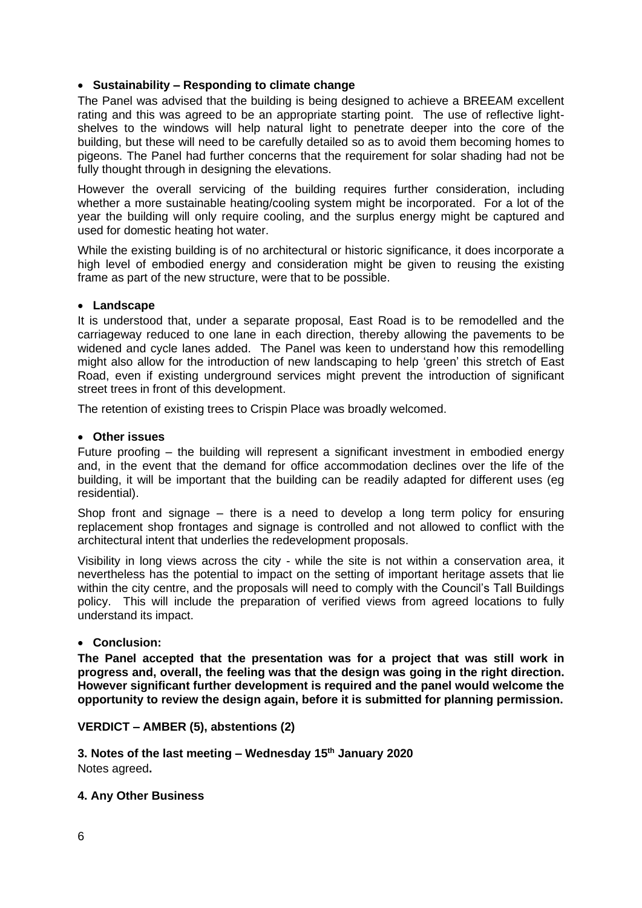# • **Sustainability – Responding to climate change**

The Panel was advised that the building is being designed to achieve a BREEAM excellent rating and this was agreed to be an appropriate starting point. The use of reflective lightshelves to the windows will help natural light to penetrate deeper into the core of the building, but these will need to be carefully detailed so as to avoid them becoming homes to pigeons. The Panel had further concerns that the requirement for solar shading had not be fully thought through in designing the elevations.

However the overall servicing of the building requires further consideration, including whether a more sustainable heating/cooling system might be incorporated. For a lot of the year the building will only require cooling, and the surplus energy might be captured and used for domestic heating hot water.

While the existing building is of no architectural or historic significance, it does incorporate a high level of embodied energy and consideration might be given to reusing the existing frame as part of the new structure, were that to be possible.

# • **Landscape**

It is understood that, under a separate proposal, East Road is to be remodelled and the carriageway reduced to one lane in each direction, thereby allowing the pavements to be widened and cycle lanes added. The Panel was keen to understand how this remodelling might also allow for the introduction of new landscaping to help 'green' this stretch of East Road, even if existing underground services might prevent the introduction of significant street trees in front of this development.

The retention of existing trees to Crispin Place was broadly welcomed.

# • **Other issues**

Future proofing – the building will represent a significant investment in embodied energy and, in the event that the demand for office accommodation declines over the life of the building, it will be important that the building can be readily adapted for different uses (eg residential).

Shop front and signage – there is a need to develop a long term policy for ensuring replacement shop frontages and signage is controlled and not allowed to conflict with the architectural intent that underlies the redevelopment proposals.

Visibility in long views across the city - while the site is not within a conservation area, it nevertheless has the potential to impact on the setting of important heritage assets that lie within the city centre, and the proposals will need to comply with the Council's Tall Buildings policy. This will include the preparation of verified views from agreed locations to fully understand its impact.

# • **Conclusion:**

**The Panel accepted that the presentation was for a project that was still work in progress and, overall, the feeling was that the design was going in the right direction. However significant further development is required and the panel would welcome the opportunity to review the design again, before it is submitted for planning permission.**

# **VERDICT – AMBER (5), abstentions (2)**

**3. Notes of the last meeting – Wednesday 15 th January 2020**  Notes agreed**.** 

# **4. Any Other Business**